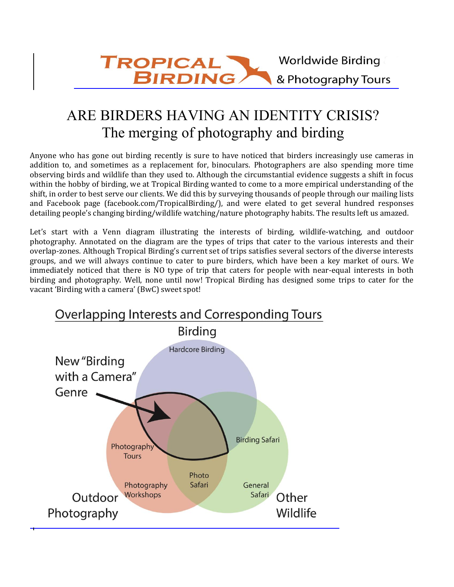# ARE BIRDERS HAVING AN IDENTITY CRISIS? The merging of photography and birding

Anyone who has gone out birding recently is sure to have noticed that birders increasingly use cameras in addition to, and sometimes as a replacement for, binoculars. Photographers are also spending more time observing birds and wildlife than they used to. Although the circumstantial evidence suggests a shift in focus within the hobby of birding, we at Tropical Birding wanted to come to a more empirical understanding of the shift, in order to best serve our clients. We did this by surveying thousands of people through our mailing lists and Facebook page (facebook.com/TropicalBirding/), and were elated to get several hundred responses detailing people's changing birding/wildlife watching/nature photography habits. The results left us amazed.

Let's start with a Venn diagram illustrating the interests of birding, wildlife-watching, and outdoor photography. Annotated on the diagram are the types of trips that cater to the various interests and their overlap-zones. Although Tropical Birding's current set of trips satisfies several sectors of the diverse interests groups, and we will always continue to cater to pure birders, which have been a key market of ours. We immediately noticed that there is NO type of trip that caters for people with near-equal interests in both birding and photography. Well, none until now! Tropical Birding has designed some trips to cater for the vacant 'Birding with a camera' (BwC) sweet spot!

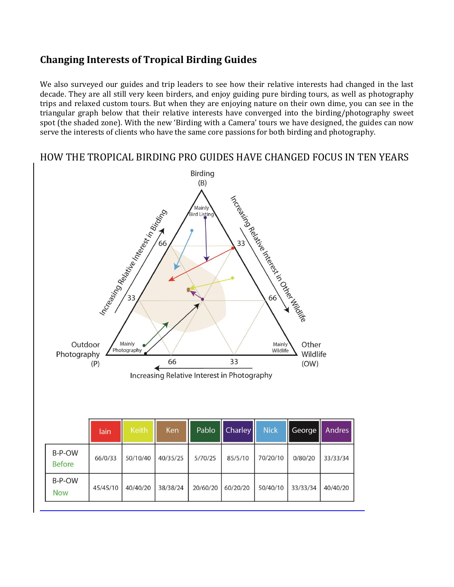## **Changing Interests of Tropical Birding Guides**

We also surveyed our guides and trip leaders to see how their relative interests had changed in the last decade. They are all still very keen birders, and enjoy guiding pure birding tours, as well as photography trips and relaxed custom tours. But when they are enjoying nature on their own dime, you can see in the triangular graph below that their relative interests have converged into the birding/photography sweet spot (the shaded zone). With the new 'Birding with a Camera' tours we have designed, the guides can now serve the interests of clients who have the same core passions for both birding and photography.

### HOW THE TROPICAL BIRDING PRO GUIDES HAVE CHANGED FOCUS IN TEN YEARS



|                         | lain     | Keith    | <b>Ken</b> | Pablo    | <b>Charley</b> | <b>Nick</b> | George   | Andres   |
|-------------------------|----------|----------|------------|----------|----------------|-------------|----------|----------|
| B-P-OW<br><b>Before</b> | 66/0/33  | 50/10/40 | 40/35/25   | 5/70/25  | 85/5/10        | 70/20/10    | 0/80/20  | 33/33/34 |
| B-P-OW<br><b>Now</b>    | 45/45/10 | 40/40/20 | 38/38/24   | 20/60/20 | 60/20/20       | 50/40/10    | 33/33/34 | 40/40/20 |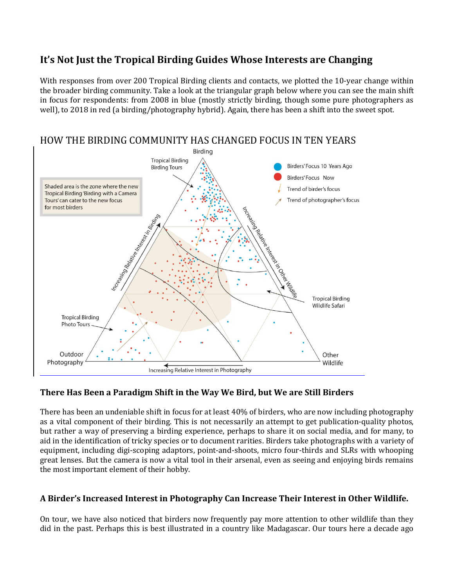## **It's Not Just the Tropical Birding Guides Whose Interests are Changing**

With responses from over 200 Tropical Birding clients and contacts, we plotted the 10-year change within the broader birding community. Take a look at the triangular graph below where you can see the main shift in focus for respondents: from 2008 in blue (mostly strictly birding, though some pure photographers as well), to 2018 in red (a birding/photography hybrid). Again, there has been a shift into the sweet spot.



#### **There Has Been a Paradigm Shift in the Way We Bird, but We are Still Birders**

There has been an undeniable shift in focus for at least 40% of birders, who are now including photography as a vital component of their birding. This is not necessarily an attempt to get publication-quality photos, but rather a way of preserving a birding experience, perhaps to share it on social media, and for many, to aid in the identification of tricky species or to document rarities. Birders take photographs with a variety of equipment, including digi-scoping adaptors, point-and-shoots, micro four-thirds and SLRs with whooping great lenses. But the camera is now a vital tool in their arsenal, even as seeing and enjoying birds remains the most important element of their hobby.

#### **A Birder's Increased Interest in Photography Can Increase Their Interest in Other Wildlife.**

On tour, we have also noticed that birders now frequently pay more attention to other wildlife than they did in the past. Perhaps this is best illustrated in a country like Madagascar. Our tours here a decade ago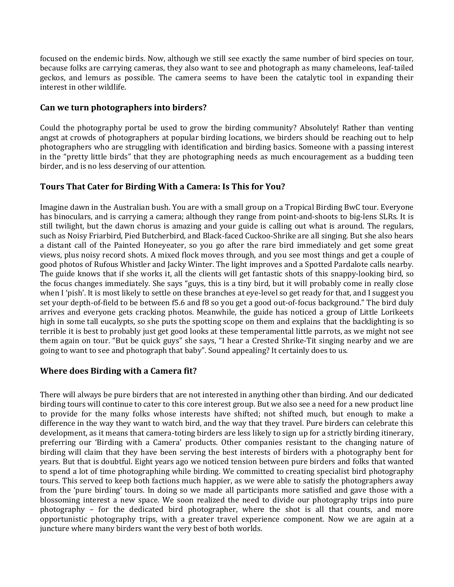focused on the endemic birds. Now, although we still see exactly the same number of bird species on tour, because folks are carrying cameras, they also want to see and photograph as many chameleons, leaf-tailed geckos, and lemurs as possible. The camera seems to have been the catalytic tool in expanding their interest in other wildlife.

#### **Can we turn photographers into birders?**

Could the photography portal be used to grow the birding community? Absolutely! Rather than venting angst at crowds of photographers at popular birding locations, we birders should be reaching out to help photographers who are struggling with identification and birding basics. Someone with a passing interest in the "pretty little birds" that they are photographing needs as much encouragement as a budding teen birder, and is no less deserving of our attention.

#### **Tours That Cater for Birding With a Camera: Is This for You?**

Imagine dawn in the Australian bush. You are with a small group on a Tropical Birding BwC tour. Everyone has binoculars, and is carrying a camera; although they range from point-and-shoots to big-lens SLRs. It is still twilight, but the dawn chorus is amazing and your guide is calling out what is around. The regulars, such as Noisy Friarbird, Pied Butcherbird, and Black-faced Cuckoo-Shrike are all singing. But she also hears a distant call of the Painted Honeyeater, so you go after the rare bird immediately and get some great views, plus noisy record shots. A mixed flock moves through, and you see most things and get a couple of good photos of Rufous Whistler and Jacky Winter. The light improves and a Spotted Pardalote calls nearby. The guide knows that if she works it, all the clients will get fantastic shots of this snappy-looking bird, so the focus changes immediately. She says "guys, this is a tiny bird, but it will probably come in really close when I 'pish'. It is most likely to settle on these branches at eye-level so get ready for that, and I suggest you set your depth-of-field to be between f5.6 and f8 so you get a good out-of-focus background." The bird duly arrives and everyone gets cracking photos. Meanwhile, the guide has noticed a group of Little Lorikeets high in some tall eucalypts, so she puts the spotting scope on them and explains that the backlighting is so terrible it is best to probably just get good looks at these temperamental little parrots, as we might not see them again on tour. "But be quick guys" she says, "I hear a Crested Shrike-Tit singing nearby and we are going to want to see and photograph that baby". Sound appealing? It certainly does to us.

#### **Where does Birding with a Camera fit?**

There will always be pure birders that are not interested in anything other than birding. And our dedicated birding tours will continue to cater to this core interest group. But we also see a need for a new product line to provide for the many folks whose interests have shifted; not shifted much, but enough to make a difference in the way they want to watch bird, and the way that they travel. Pure birders can celebrate this development, as it means that camera-toting birders are less likely to sign up for a strictly birding itinerary, preferring our 'Birding with a Camera' products. Other companies resistant to the changing nature of birding will claim that they have been serving the best interests of birders with a photography bent for years. But that is doubtful. Eight years ago we noticed tension between pure birders and folks that wanted to spend a lot of time photographing while birding. We committed to creating specialist bird photography tours. This served to keep both factions much happier, as we were able to satisfy the photographers away from the 'pure birding' tours. In doing so we made all participants more satisfied and gave those with a blossoming interest a new space. We soon realized the need to divide our photography trips into pure photography – for the dedicated bird photographer, where the shot is all that counts, and more opportunistic photography trips, with a greater travel experience component. Now we are again at a juncture where many birders want the very best of both worlds.